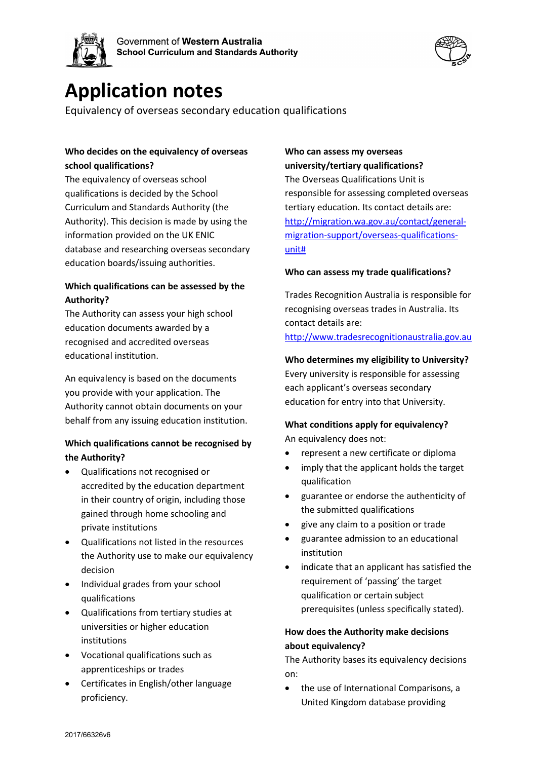



# **Application notes**

Equivalency of overseas secondary education qualifications

#### **Who decides on the equivalency of overseas school qualifications?**

The equivalency of overseas school qualifications is decided by the School Curriculum and Standards Authority (the Authority). This decision is made by using the information provided on the UK ENIC database and researching overseas secondary education boards/issuing authorities.

## **Which qualifications can be assessed by the Authority?**

The Authority can assess your high school education documents awarded by a recognised and accredited overseas educational institution.

An equivalency is based on the documents you provide with your application. The Authority cannot obtain documents on your behalf from any issuing education institution.

## **Which qualifications cannot be recognised by the Authority?**

- Qualifications not recognised or accredited by the education department in their country of origin, including those gained through home schooling and private institutions
- Qualifications not listed in the resources the Authority use to make our equivalency decision
- Individual grades from your school qualifications
- Qualifications from tertiary studies at universities or higher education institutions
- Vocational qualifications such as apprenticeships or trades
- Certificates in English/other language proficiency.

## **Who can assess my overseas university/tertiary qualifications?**

The Overseas Qualifications Unit is responsible for assessing completed overseas tertiary education. Its contact details are: [http://migration.wa.gov.au/contact/general](http://migration.wa.gov.au/contact/general-migration-support/overseas-qualifications-unit)[migration-support/overseas-qualifications](http://migration.wa.gov.au/contact/general-migration-support/overseas-qualifications-unit)[unit#](http://migration.wa.gov.au/contact/general-migration-support/overseas-qualifications-unit)

#### **Who can assess my trade qualifications?**

Trades Recognition Australia is responsible for recognising overseas trades in Australia. Its contact details are:

[http://www.tradesrecognitionaustralia.gov.au](http://www.tradesrecognitionaustralia.gov.au/)

## **Who determines my eligibility to University?** Every university is responsible for assessing each applicant's overseas secondary

## education for entry into that University. **What conditions apply for equivalency?**

An equivalency does not:

- represent a new certificate or diploma
- imply that the applicant holds the target qualification
- guarantee or endorse the authenticity of the submitted qualifications
- give any claim to a position or trade
- guarantee admission to an educational institution
- indicate that an applicant has satisfied the requirement of 'passing' the target qualification or certain subject prerequisites (unless specifically stated).

## **How does the Authority make decisions about equivalency?**

The Authority bases its equivalency decisions on:

• the use of International Comparisons, a United Kingdom database providing